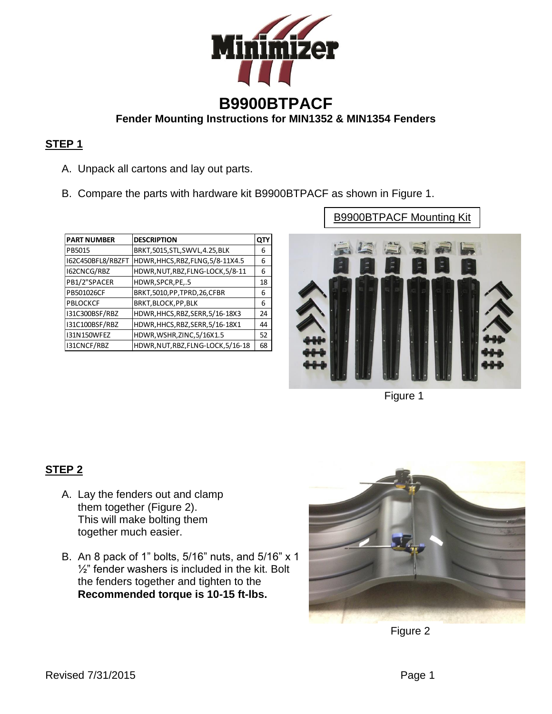

### **STEP 1**

- A. Unpack all cartons and lay out parts.
- B. Compare the parts with hardware kit B9900BTPACF as shown in Figure 1.

| <b>PART NUMBER</b> | <b>DESCRIPTION</b>                 | QTY |
|--------------------|------------------------------------|-----|
| PB5015             | BRKT,5015,STL,SWVL,4.25,BLK        | 6   |
| I62C450BFL8/RBZFT  | HDWR, HHCS, RBZ, FLNG, 5/8-11X4.5  | 6   |
| I62CNCG/RBZ        | HDWR, NUT, RBZ, FLNG-LOCK, 5/8-11  | 6   |
| PB1/2"SPACER       | HDWR, SPCR, PE,.5                  | 18  |
| PB501026CF         | BRKT, 5010, PP, TPRD, 26, CFBR     | 6   |
| <b>PBLOCKCF</b>    | BRKT, BLOCK, PP, BLK               | 6   |
| 131C300BSF/RBZ     | HDWR, HHCS, RBZ, SERR, 5/16-18X3   | 24  |
| I31C100BSF/RBZ     | HDWR, HHCS, RBZ, SERR, 5/16-18X1   | 44  |
| 131N150WFEZ        | HDWR, WSHR, ZINC, 5/16X1.5         | 52  |
| I31CNCF/RBZ        | HDWR, NUT, RBZ, FLNG-LOCK, 5/16-18 | 68  |

B9900BTPACF Mounting Kit



Figure 1

### **STEP 2**

- A. Lay the fenders out and clamp them together (Figure 2). This will make bolting them together much easier.
- B. An 8 pack of 1" bolts, 5/16" nuts, and 5/16" x 1  $\frac{1}{2}$ " fender washers is included in the kit. Bolt the fenders together and tighten to the **Recommended torque is 10-15 ft-lbs.**



Figure 2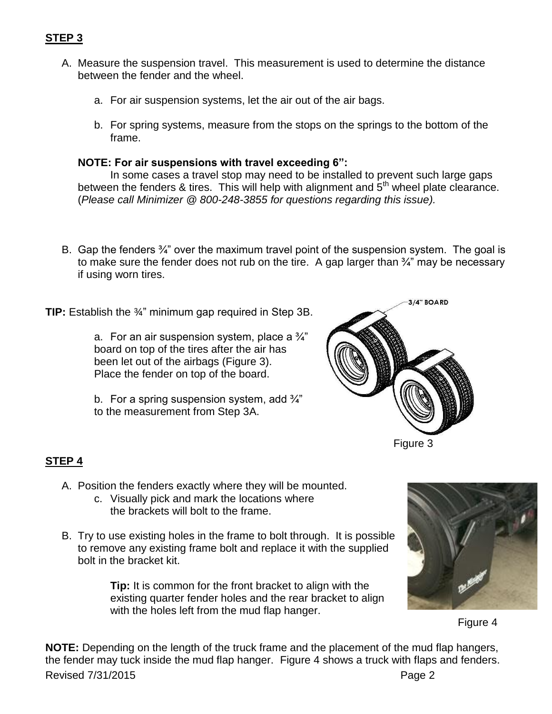- A. Measure the suspension travel. This measurement is used to determine the distance between the fender and the wheel.
	- a. For air suspension systems, let the air out of the air bags.
	- b. For spring systems, measure from the stops on the springs to the bottom of the frame.

#### **NOTE: For air suspensions with travel exceeding 6":**

In some cases a travel stop may need to be installed to prevent such large gaps between the fenders & tires. This will help with alignment and  $5<sup>th</sup>$  wheel plate clearance. (*Please call Minimizer @ 800-248-3855 for questions regarding this issue).* 

B. Gap the fenders <sup>3</sup>/<sub>4</sub>" over the maximum travel point of the suspension system. The goal is to make sure the fender does not rub on the tire. A gap larger than  $\frac{3}{4}$  may be necessary if using worn tires.

**TIP:** Establish the ¾" minimum gap required in Step 3B.

a. For an air suspension system, place a  $\frac{3}{4}$ " board on top of the tires after the air has been let out of the airbags (Figure 3). Place the fender on top of the board.

b. For a spring suspension system, add  $\frac{3}{4}$ " to the measurement from Step 3A.



Figure 3

## **STEP 4**

- A. Position the fenders exactly where they will be mounted.
	- c. Visually pick and mark the locations where the brackets will bolt to the frame.
- B. Try to use existing holes in the frame to bolt through. It is possible to remove any existing frame bolt and replace it with the supplied bolt in the bracket kit.

**Tip:** It is common for the front bracket to align with the existing quarter fender holes and the rear bracket to align with the holes left from the mud flap hanger.



Figure 4

Revised 7/31/2015 **Page 2 NOTE:** Depending on the length of the truck frame and the placement of the mud flap hangers, the fender may tuck inside the mud flap hanger. Figure 4 shows a truck with flaps and fenders.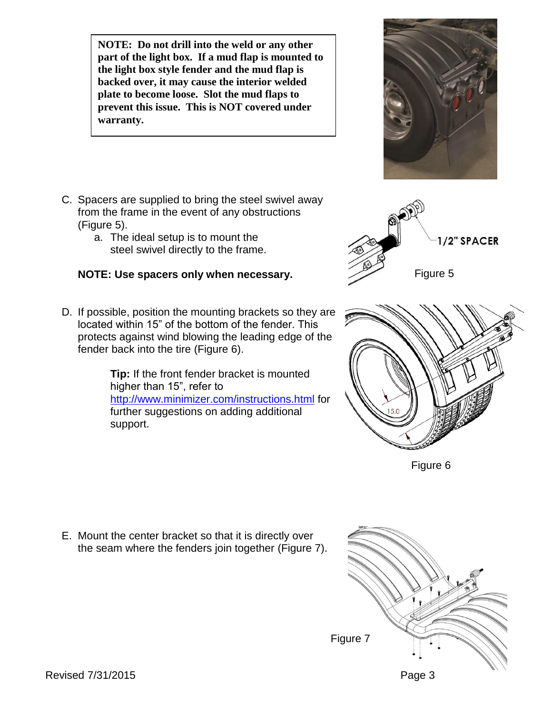**NOTE: Do not drill into the weld or any other part of the light box. If a mud flap is mounted to the light box style fender and the mud flap is backed over, it may cause the interior welded plate to become loose. Slot the mud flaps to prevent this issue. This is NOT covered under warranty.** 

- C. Spacers are supplied to bring the steel swivel away from the frame in the event of any obstructions (Figure 5).
	- a. The ideal setup is to mount the steel swivel directly to the frame.

# **NOTE: Use spacers only when necessary.**

D. If possible, position the mounting brackets so they are located within 15" of the bottom of the fender. This protects against wind blowing the leading edge of the fender back into the tire (Figure 6).

> **Tip:** If the front fender bracket is mounted higher than 15", refer to <http://www.minimizer.com/instructions.html> for further suggestions on adding additional support.

Revised 7/31/2015 **Page 3** 

E. Mount the center bracket so that it is directly over the seam where the fenders join together (Figure 7).







Figure 6



Figure 7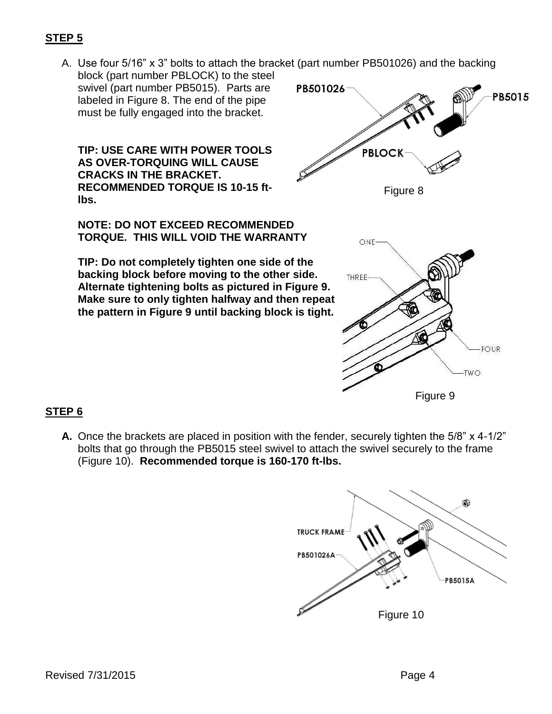## **STEP 5**

A. Use four 5/16" x 3" bolts to attach the bracket (part number PB501026) and the backing

block (part number PBLOCK) to the steel swivel (part number PB5015). Parts are labeled in Figure 8. The end of the pipe must be fully engaged into the bracket.

**TIP: USE CARE WITH POWER TOOLS AS OVER-TORQUING WILL CAUSE CRACKS IN THE BRACKET. RECOMMENDED TORQUE IS 10-15 ftlbs.**

**NOTE: DO NOT EXCEED RECOMMENDED TORQUE. THIS WILL VOID THE WARRANTY**

**TIP: Do not completely tighten one side of the backing block before moving to the other side. Alternate tightening bolts as pictured in Figure 9. Make sure to only tighten halfway and then repeat the pattern in Figure 9 until backing block is tight.** 





# **STEP 6**

**A.** Once the brackets are placed in position with the fender, securely tighten the 5/8" x 4-1/2" bolts that go through the PB5015 steel swivel to attach the swivel securely to the frame (Figure 10). **Recommended torque is 160-170 ft-lbs.**